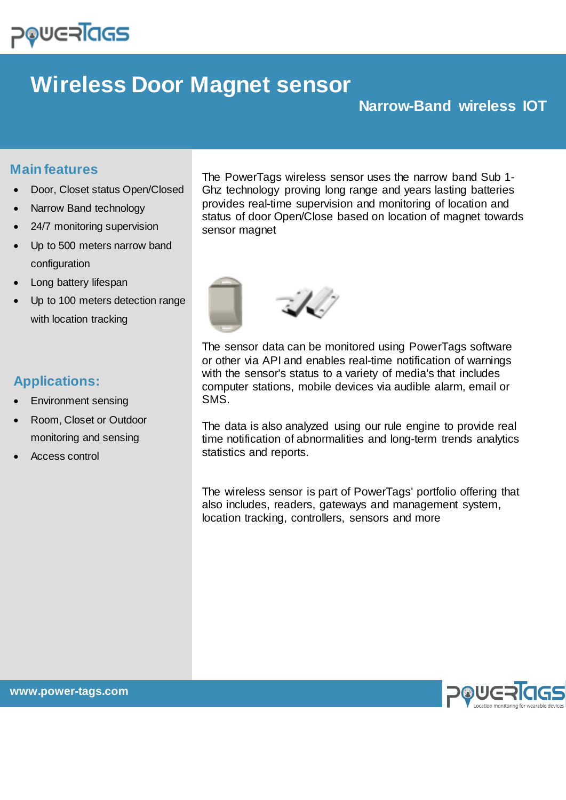# **DOUGRICIS**

## **Wireless Door Magnet sensor**

## **Narrow-Band wireless IOT**

### **Main features**

- Door, Closet status Open/Closed
- Narrow Band technology
- 24/7 monitoring supervision
- Up to 500 meters narrow band configuration
- Long battery lifespan
- Up to 100 meters detection range with location tracking

## **Applications:**

- Environment sensing
- Room, Closet or Outdoor monitoring and sensing
- Access control

The PowerTags wireless sensor uses the narrow band Sub 1- Ghz technology proving long range and years lasting batteries provides real-time supervision and monitoring of location and status of door Open/Close based on location of magnet towards sensor magnet



The sensor data can be monitored using PowerTags software or other via API and enables real-time notification of warnings with the sensor's status to a variety of media's that includes computer stations, mobile devices via audible alarm, email or SMS.

The data is also analyzed using our rule engine to provide real time notification of abnormalities and long-term trends analytics statistics and reports.

The wireless sensor is part of PowerTags' portfolio offering that also includes, readers, gateways and management system, location tracking, controllers, sensors and more